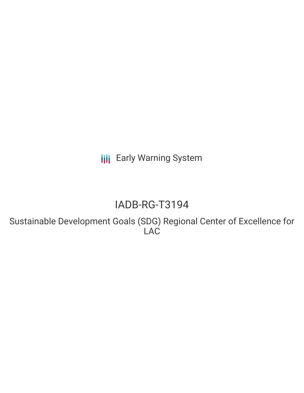**III** Early Warning System

# IADB-RG-T3194

Sustainable Development Goals (SDG) Regional Center of Excellence for LAC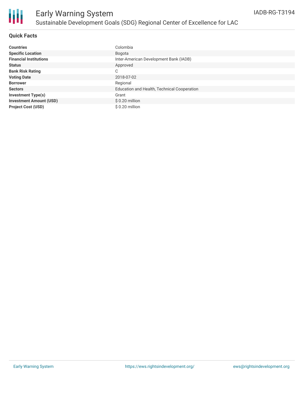

### **Quick Facts**

| <b>Countries</b>               | Colombia                                    |
|--------------------------------|---------------------------------------------|
| <b>Specific Location</b>       | Bogota                                      |
| <b>Financial Institutions</b>  | Inter-American Development Bank (IADB)      |
| <b>Status</b>                  | Approved                                    |
| <b>Bank Risk Rating</b>        | С                                           |
| <b>Voting Date</b>             | 2018-07-02                                  |
| <b>Borrower</b>                | Regional                                    |
| <b>Sectors</b>                 | Education and Health, Technical Cooperation |
| Investment Type(s)             | Grant                                       |
| <b>Investment Amount (USD)</b> | $$0.20$ million                             |
| <b>Project Cost (USD)</b>      | \$ 0.20 million                             |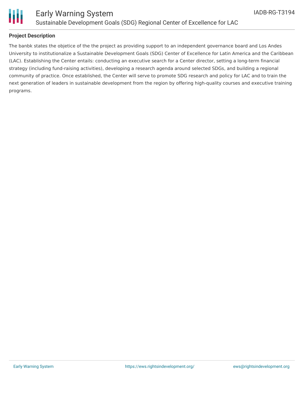

### **Project Description**

The banbk states the objetice of the the project as providing support to an independent governance board and Los Andes University to institutionalize a Sustainable Development Goals (SDG) Center of Excellence for Latin America and the Caribbean (LAC). Establishing the Center entails: conducting an executive search for a Center director, setting a long-term financial strategy (including fund-raising activities), developing a research agenda around selected SDGs, and building a regional community of practice. Once established, the Center will serve to promote SDG research and policy for LAC and to train the next generation of leaders in sustainable development from the region by offering high-quality courses and executive training programs.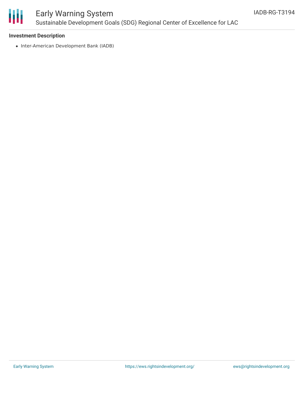

### Early Warning System Sustainable Development Goals (SDG) Regional Center of Excellence for LAC

### **Investment Description**

• Inter-American Development Bank (IADB)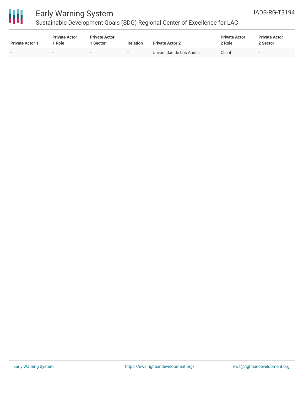

# Early Warning System

## Sustainable Development Goals (SDG) Regional Center of Excellence for LAC

| <b>Private Actor 1</b>   | <b>Private Actor</b><br>Role | <b>Private Actor</b><br>l Sector | <b>Relation</b>          | <b>Private Actor 2</b>  | <b>Private Actor</b><br>2 Role | <b>Private Actor</b><br>2 Sector |  |
|--------------------------|------------------------------|----------------------------------|--------------------------|-------------------------|--------------------------------|----------------------------------|--|
| $\overline{\phantom{0}}$ |                              | $\overline{\phantom{0}}$         | $\overline{\phantom{a}}$ | Unversidad de Los Andes | Client                         | $\overline{\phantom{a}}$         |  |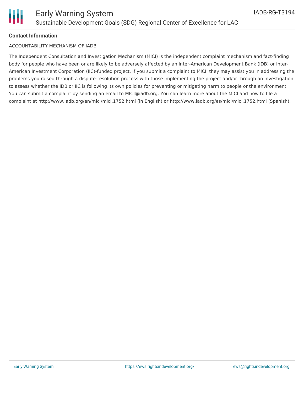### **Contact Information**

#### ACCOUNTABILITY MECHANISM OF IADB

The Independent Consultation and Investigation Mechanism (MICI) is the independent complaint mechanism and fact-finding body for people who have been or are likely to be adversely affected by an Inter-American Development Bank (IDB) or Inter-American Investment Corporation (IIC)-funded project. If you submit a complaint to MICI, they may assist you in addressing the problems you raised through a dispute-resolution process with those implementing the project and/or through an investigation to assess whether the IDB or IIC is following its own policies for preventing or mitigating harm to people or the environment. You can submit a complaint by sending an email to MICI@iadb.org. You can learn more about the MICI and how to file a complaint at http://www.iadb.org/en/mici/mici,1752.html (in English) or http://www.iadb.org/es/mici/mici,1752.html (Spanish).